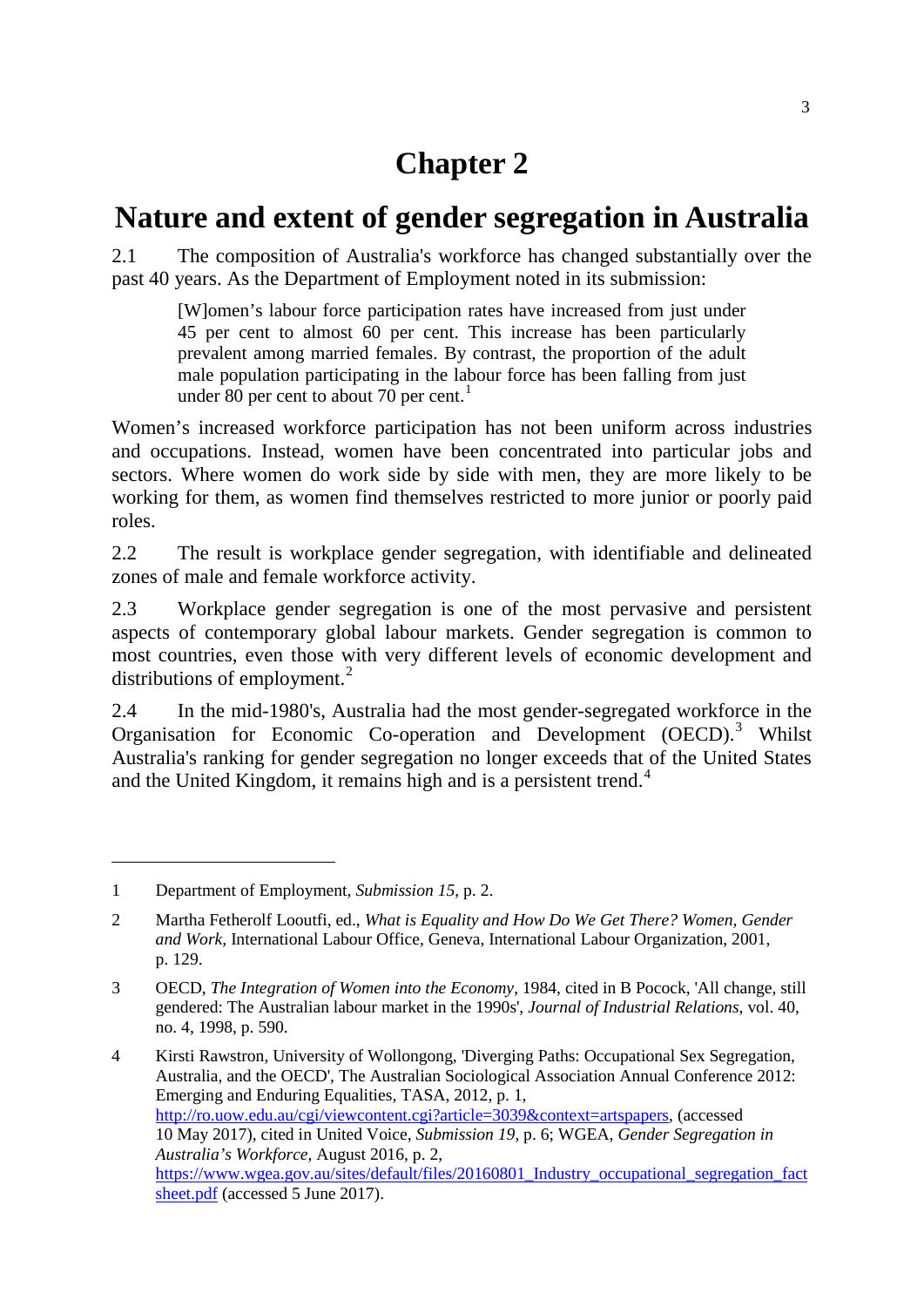# **Chapter 2**

## **Nature and extent of gender segregation in Australia**

2.1 The composition of Australia's workforce has changed substantially over the past 40 years. As the Department of Employment noted in its submission:

[W]omen's labour force participation rates have increased from just under 45 per cent to almost 60 per cent. This increase has been particularly prevalent among married females. By contrast, the proportion of the adult male population participating in the labour force has been falling from just under 80 per cent to about 70 per cent.<sup>[1](#page-0-0)</sup>

Women's increased workforce participation has not been uniform across industries and occupations. Instead, women have been concentrated into particular jobs and sectors. Where women do work side by side with men, they are more likely to be working for them, as women find themselves restricted to more junior or poorly paid roles.

2.2 The result is workplace gender segregation, with identifiable and delineated zones of male and female workforce activity.

2.3 Workplace gender segregation is one of the most pervasive and persistent aspects of contemporary global labour markets. Gender segregation is common to most countries, even those with very different levels of economic development and distributions of employment. $^{2}$  $^{2}$  $^{2}$ 

2.4 In the mid-1980's, Australia had the most gender-segregated workforce in the Organisation for Economic Co-operation and Development (OECD).<sup>[3](#page-0-2)</sup> Whilst Australia's ranking for gender segregation no longer exceeds that of the United States and the United Kingdom, it remains high and is a persistent trend.<sup>[4](#page-0-3)</sup>

<span id="page-0-0"></span><sup>1</sup> Department of Employment, *Submission 15*, p. 2.

<span id="page-0-1"></span><sup>2</sup> Martha Fetherolf Looutfi, ed., *What is Equality and How Do We Get There? Women, Gender and Work,* International Labour Office, Geneva, International Labour Organization, 2001, p. 129.

<span id="page-0-2"></span><sup>3</sup> OECD, *The Integration of Women into the Economy*, 1984, cited in B Pocock, 'All change, still gendered: The Australian labour market in the 1990s', *Journal of Industrial Relations*, vol. 40, no. 4, 1998, p. 590.

<span id="page-0-3"></span><sup>4</sup> Kirsti Rawstron, University of Wollongong, 'Diverging Paths: Occupational Sex Segregation, Australia, and the OECD'*,* The Australian Sociological Association Annual Conference 2012: Emerging and Enduring Equalities, TASA, 2012, p. 1, [http://ro.uow.edu.au/cgi/viewcontent.cgi?article=3039&context=artspapers,](http://ro.uow.edu.au/cgi/viewcontent.cgi?article=3039&context=artspapers) (accessed 10 May 2017), cited in United Voice, *Submission 19*, p. 6; WGEA, *Gender Segregation in Australia's Workforce*, August 2016, p. 2, [https://www.wgea.gov.au/sites/default/files/20160801\\_Industry\\_occupational\\_segregation\\_fact](https://www.wgea.gov.au/sites/default/files/20160801_Industry_occupational_segregation_factsheet.pdf) [sheet.pdf](https://www.wgea.gov.au/sites/default/files/20160801_Industry_occupational_segregation_factsheet.pdf) (accessed 5 June 2017).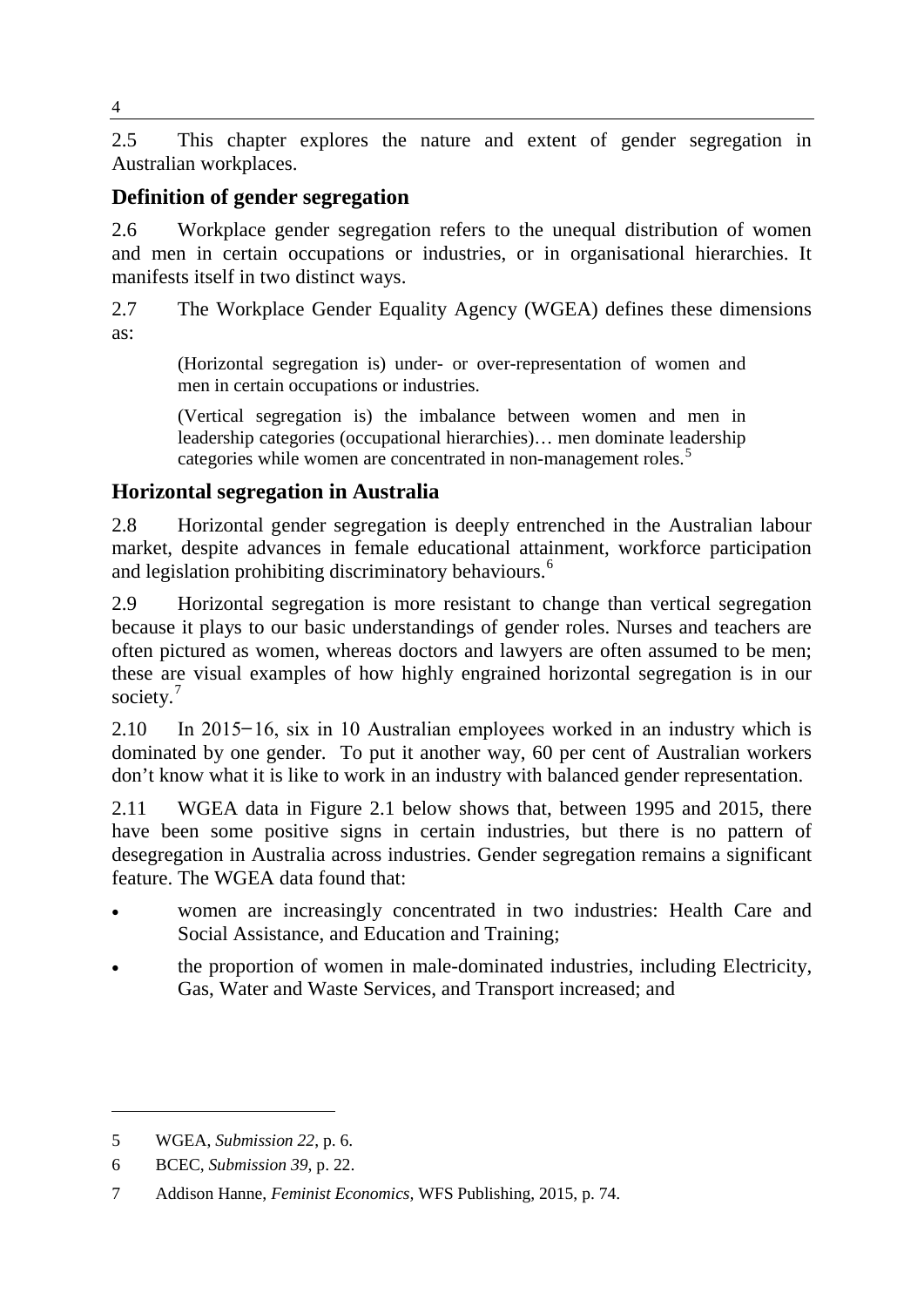2.5 This chapter explores the nature and extent of gender segregation in Australian workplaces.

## **Definition of gender segregation**

2.6 Workplace gender segregation refers to the unequal distribution of women and men in certain occupations or industries, or in organisational hierarchies. It manifests itself in two distinct ways.

2.7 The Workplace Gender Equality Agency (WGEA) defines these dimensions as:

(Horizontal segregation is) under- or over-representation of women and men in certain occupations or industries.

(Vertical segregation is) the imbalance between women and men in leadership categories (occupational hierarchies)… men dominate leadership categories while women are concentrated in non-management roles. [5](#page-1-0)

## **Horizontal segregation in Australia**

2.8 Horizontal gender segregation is deeply entrenched in the Australian labour market, despite advances in female educational attainment, workforce participation and legislation prohibiting discriminatory behaviours.<sup>[6](#page-1-1)</sup>

2.9 Horizontal segregation is more resistant to change than vertical segregation because it plays to our basic understandings of gender roles. Nurses and teachers are often pictured as women, whereas doctors and lawyers are often assumed to be men; these are visual examples of how highly engrained horizontal segregation is in our society.<sup>[7](#page-1-2)</sup>

2.10 In 2015–16, six in 10 Australian employees worked in an industry which is dominated by one gender. To put it another way, 60 per cent of Australian workers don't know what it is like to work in an industry with balanced gender representation.

2.11 WGEA data in Figure 2.1 below shows that, between 1995 and 2015, there have been some positive signs in certain industries, but there is no pattern of desegregation in Australia across industries. Gender segregation remains a significant feature. The WGEA data found that:

- women are increasingly concentrated in two industries: Health Care and Social Assistance, and Education and Training;
- the proportion of women in male-dominated industries, including Electricity, Gas, Water and Waste Services, and Transport increased; and

-

4

<span id="page-1-0"></span><sup>5</sup> WGEA, *Submission 22*, p. 6.

<span id="page-1-1"></span><sup>6</sup> BCEC, *Submission 39*, p. 22.

<span id="page-1-2"></span><sup>7</sup> Addison Hanne, *Feminist Economics,* WFS Publishing, 2015, p. 74.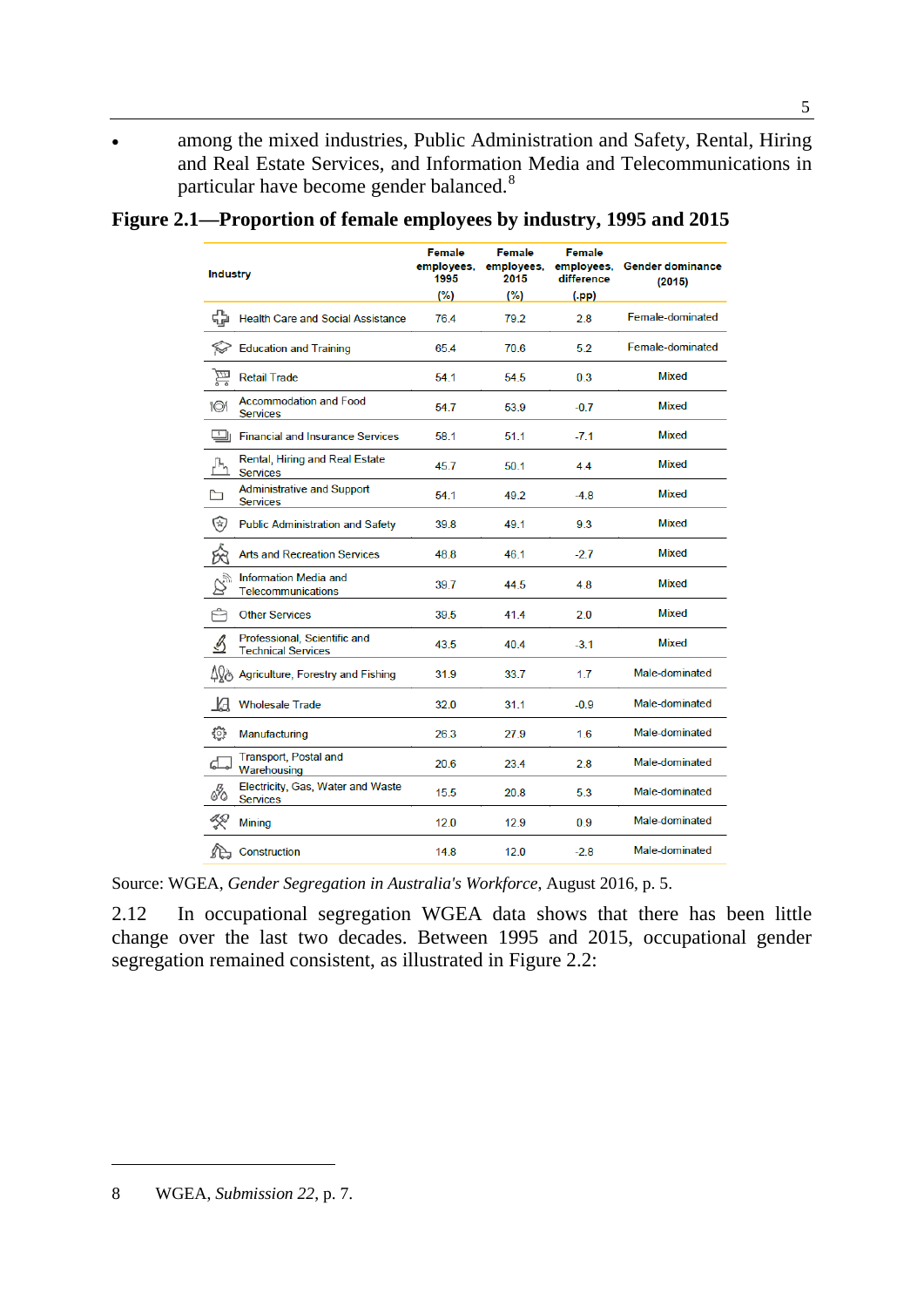• among the mixed industries, Public Administration and Safety, Rental, Hiring and Real Estate Services, and Information Media and Telecommunications in particular have become gender balanced.[8](#page-2-0)

| Figure 2.1—Proportion of female employees by industry, 1995 and 2015 |  |  |  |
|----------------------------------------------------------------------|--|--|--|
|----------------------------------------------------------------------|--|--|--|

| <b>Industry</b>                                                | <b>Female</b><br>employees.<br>1995<br>(%) | <b>Female</b><br>employees,<br>2015<br>(%) | <b>Female</b><br>employees.<br>difference<br>$(\mathsf{p} \mathsf{p})$ | <b>Gender dominance</b><br>(2015) |
|----------------------------------------------------------------|--------------------------------------------|--------------------------------------------|------------------------------------------------------------------------|-----------------------------------|
| ♧<br><b>Health Care and Social Assistance</b>                  | 76.4                                       | 79.2                                       | 28                                                                     | Female-dominated                  |
| <b>Education and Training</b>                                  | 65.4                                       | 70.6                                       | 5.2                                                                    | Female-dominated                  |
| <b>Retail Trade</b>                                            | 54.1                                       | 54.5                                       | 0.3                                                                    | <b>Mixed</b>                      |
| <b>Accommodation and Food</b><br>101<br><b>Services</b>        | 54.7                                       | 53.9                                       | $-0.7$                                                                 | Mixed                             |
| $\boxed{3}$<br><b>Financial and Insurance Services</b>         | 58.1                                       | 51.1                                       | $-7.1$                                                                 | Mixed                             |
| Rental, Hiring and Real Estate<br><b>Services</b>              | 45.7                                       | 50.1                                       | 4.4                                                                    | Mixed                             |
| <b>Administrative and Support</b><br><b>Services</b>           | 54.1                                       | 49.2                                       | $-4.8$                                                                 | Mixed                             |
| 図<br><b>Public Administration and Safety</b>                   | 39.8                                       | 49.1                                       | 9.3                                                                    | Mixed                             |
| <b>Arts and Recreation Services</b>                            | 48.8                                       | 46.1                                       | $-2.7$                                                                 | Mixed                             |
| <b>Information Media and</b><br><b>Telecommunications</b>      | 39.7                                       | 44.5                                       | 4.8                                                                    | <b>Mixed</b>                      |
| Ĥ<br><b>Other Services</b>                                     | 39.5                                       | 41.4                                       | 2.0                                                                    | Mixed                             |
| Professional, Scientific and<br>В<br><b>Technical Services</b> | 43.5                                       | 404                                        | $-3.1$                                                                 | Mixed                             |
| ΔΩ<br>Agriculture, Forestry and Fishing                        | 31.9                                       | 33.7                                       | 1.7                                                                    | Male-dominated                    |
| И<br><b>Wholesale Trade</b>                                    | 32.0                                       | 31.1                                       | $-0.9$                                                                 | Male-dominated                    |
| €<br>Manufacturing                                             | 26.3                                       | 27.9                                       | 1.6                                                                    | Male-dominated                    |
| <b>Transport, Postal and</b><br>Warehousing                    | 20.6                                       | 23.4                                       | 2.8                                                                    | Male-dominated                    |
| Electricity, Gas, Water and Waste<br><b>Services</b>           | 15.5                                       | 20.8                                       | 5.3                                                                    | Male-dominated                    |
| <b>Mining</b>                                                  | 120                                        | 12.9                                       | 0.9                                                                    | Male-dominated                    |
| Construction                                                   | 14.8                                       | 12.0                                       | $-2.8$                                                                 | Male-dominated                    |

Source: WGEA, *Gender Segregation in Australia's Workforce*, August 2016, p. 5.

2.12 In occupational segregation WGEA data shows that there has been little change over the last two decades. Between 1995 and 2015, occupational gender segregation remained consistent, as illustrated in Figure 2.2:

<span id="page-2-0"></span><sup>8</sup> WGEA, *Submission 22*, p. 7.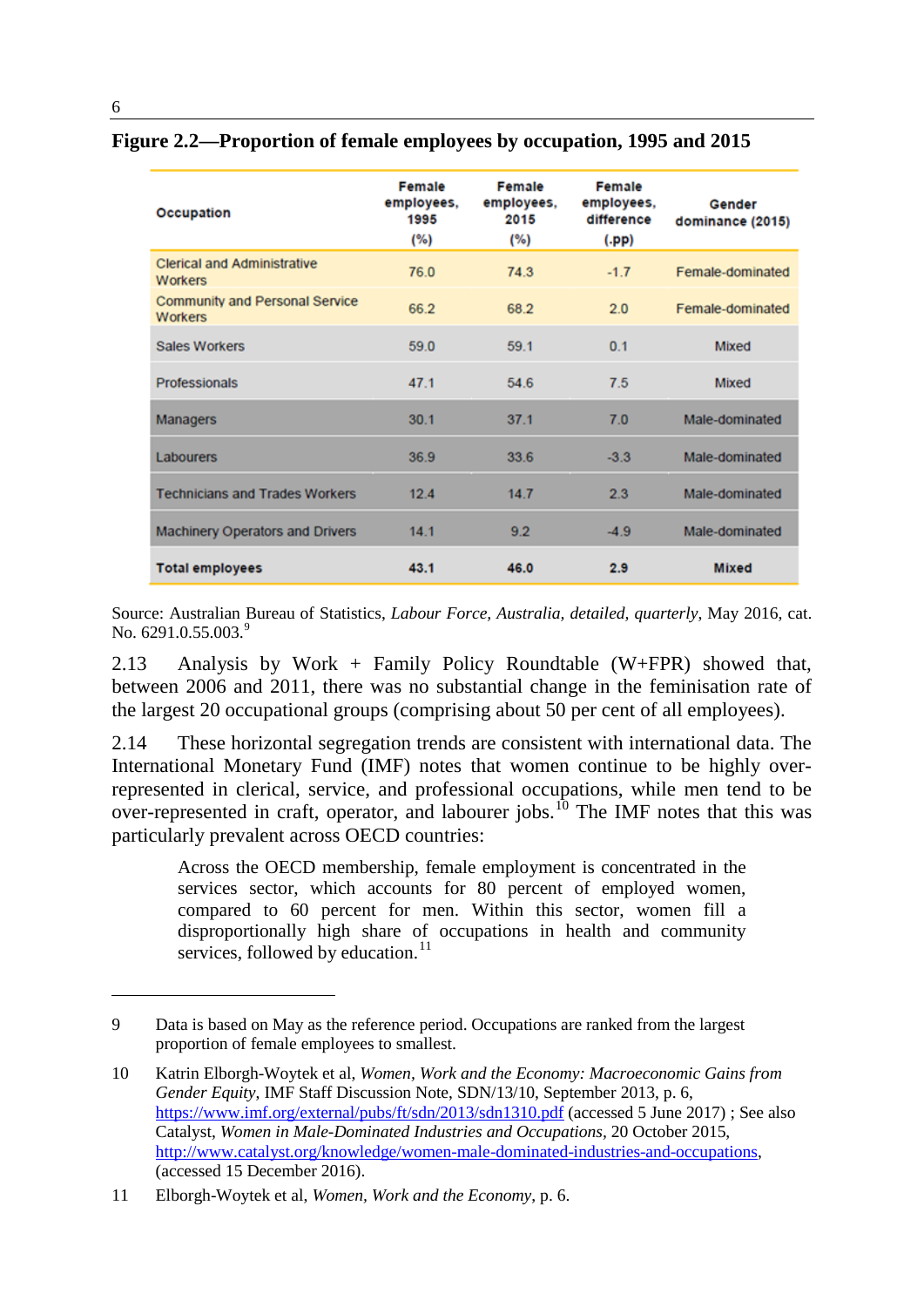| Occupation                                              | Female<br>employees,<br>1995<br>(%) | Female<br>employees,<br>2015<br>(%) | Female<br>employees,<br>difference<br>(.pp) | Gender<br>dominance (2015) |
|---------------------------------------------------------|-------------------------------------|-------------------------------------|---------------------------------------------|----------------------------|
| <b>Clerical and Administrative</b><br>Workers           | 76.0                                | 74.3                                | $-1.7$                                      | Female-dominated           |
| <b>Community and Personal Service</b><br><b>Workers</b> | 66.2                                | 68.2                                | 2.0                                         | Female-dominated           |
| <b>Sales Workers</b>                                    | 59.0                                | 59.1                                | 0.1                                         | Mixed                      |
| Professionals                                           | 47.1                                | 54.6                                | 7.5                                         | Mixed                      |
| Managers                                                | 30.1                                | 37.1                                | 7.0                                         | Male-dominated             |
| Labourers                                               | 36.9                                | 33.6                                | $-3.3$                                      | Male-dominated             |
| <b>Technicians and Trades Workers</b>                   | 12.4                                | 14.7                                | 2.3                                         | Male-dominated             |
| <b>Machinery Operators and Drivers</b>                  | 14.1                                | 9.2                                 | $-4.9$                                      | Male-dominated             |
| <b>Total employees</b>                                  | 43.1                                | 46.0                                | 2.9                                         | <b>Mixed</b>               |

#### **Figure 2.2—Proportion of female employees by occupation, 1995 and 2015**

Source: Australian Bureau of Statistics, *Labour Force, Australia, detailed, quarterly*, May 2016, cat. No.  $6291.0.55.003.<sup>9</sup>$  $6291.0.55.003.<sup>9</sup>$  $6291.0.55.003.<sup>9</sup>$ 

2.13 Analysis by Work + Family Policy Roundtable (W+FPR) showed that, between 2006 and 2011, there was no substantial change in the feminisation rate of the largest 20 occupational groups (comprising about 50 per cent of all employees).

2.14 These horizontal segregation trends are consistent with international data. The International Monetary Fund (IMF) notes that women continue to be highly overrepresented in clerical, service, and professional occupations, while men tend to be over-represented in craft, operator, and labourer jobs.<sup>[10](#page-3-1)</sup> The IMF notes that this was particularly prevalent across OECD countries:

Across the OECD membership, female employment is concentrated in the services sector, which accounts for 80 percent of employed women, compared to 60 percent for men. Within this sector, women fill a disproportionally high share of occupations in health and community services, followed by education. $^{11}$  $^{11}$  $^{11}$ 

<span id="page-3-0"></span><sup>9</sup> Data is based on May as the reference period. Occupations are ranked from the largest proportion of female employees to smallest.

<span id="page-3-1"></span><sup>10</sup> Katrin Elborgh-Woytek et al, *Women, Work and the Economy: Macroeconomic Gains from Gender Equity*, IMF Staff Discussion Note, SDN/13/10, September 2013, p. 6, <https://www.imf.org/external/pubs/ft/sdn/2013/sdn1310.pdf> (accessed 5 June 2017) ; See also Catalyst, *Women in Male-Dominated Industries and Occupations,* 20 October 2015, [http://www.catalyst.org/knowledge/women-male-dominated-industries-and-occupations,](http://www.catalyst.org/knowledge/women-male-dominated-industries-and-occupations) (accessed 15 December 2016).

<span id="page-3-2"></span><sup>11</sup> Elborgh-Woytek et al, *Women, Work and the Economy*, p. 6.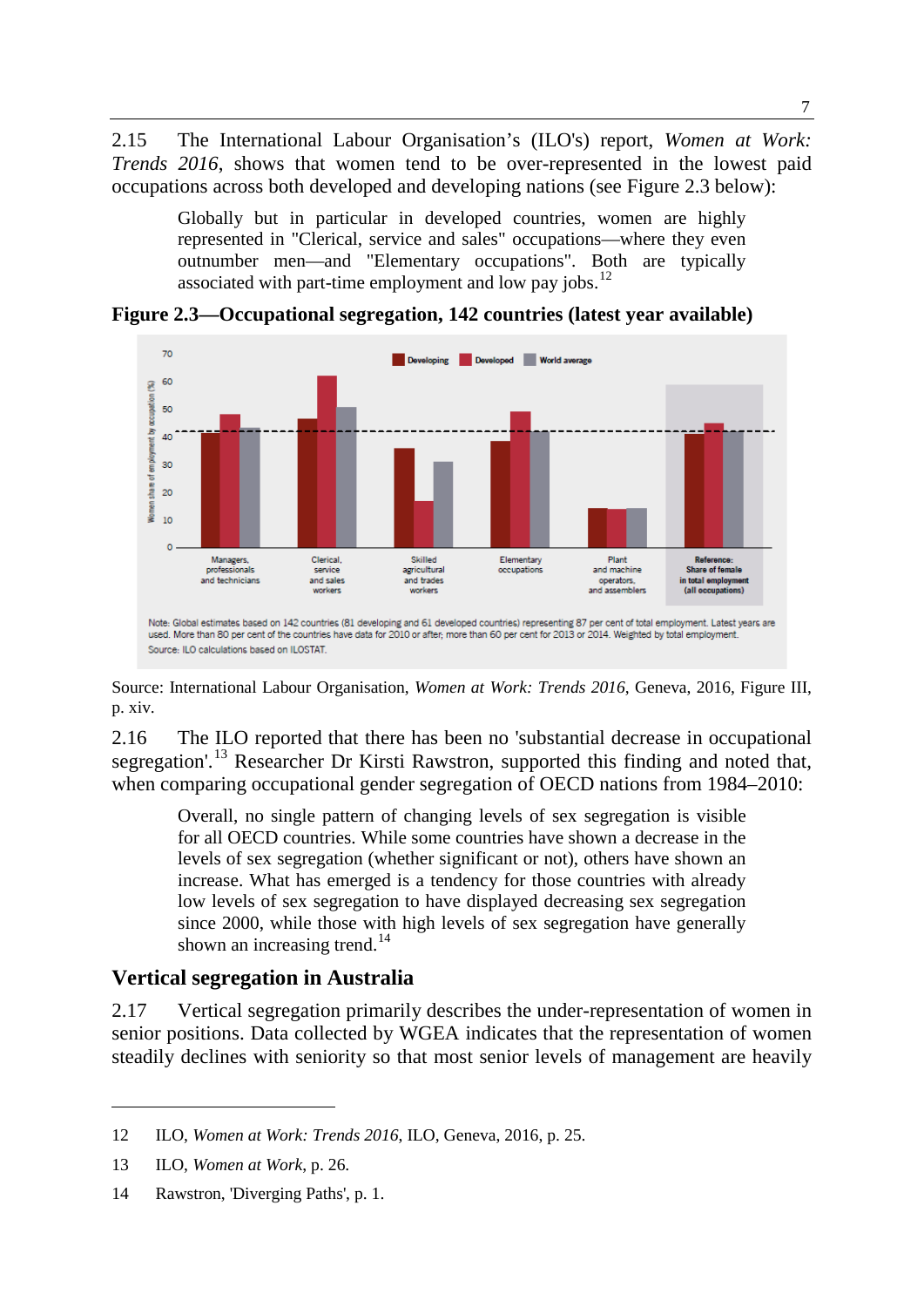2.15 The International Labour Organisation's (ILO's) report, *Women at Work: Trends 2016*, shows that women tend to be over-represented in the lowest paid occupations across both developed and developing nations (see Figure 2.3 below):

Globally but in particular in developed countries, women are highly represented in "Clerical, service and sales" occupations—where they even outnumber men—and "Elementary occupations". Both are typically associated with part-time employment and low pay jobs.<sup>[12](#page-4-0)</sup>



**Figure 2.3—Occupational segregation, 142 countries (latest year available)**

Source: International Labour Organisation, *Women at Work: Trends 2016*, Geneva, 2016, Figure III, p. xiv.

2.16 The ILO reported that there has been no 'substantial decrease in occupational segregation'.<sup>[13](#page-4-1)</sup> Researcher Dr Kirsti Rawstron, supported this finding and noted that, when comparing occupational gender segregation of OECD nations from 1984–2010:

Overall, no single pattern of changing levels of sex segregation is visible for all OECD countries. While some countries have shown a decrease in the levels of sex segregation (whether significant or not), others have shown an increase. What has emerged is a tendency for those countries with already low levels of sex segregation to have displayed decreasing sex segregation since 2000, while those with high levels of sex segregation have generally shown an increasing trend.<sup>[14](#page-4-2)</sup>

### **Vertical segregation in Australia**

2.17 Vertical segregation primarily describes the under-representation of women in senior positions. Data collected by WGEA indicates that the representation of women steadily declines with seniority so that most senior levels of management are heavily

<span id="page-4-0"></span><sup>12</sup> ILO, *Women at Work: Trends 2016*, ILO, Geneva, 2016, p. 25.

<span id="page-4-1"></span><sup>13</sup> ILO, *Women at Work*, p. 26.

<span id="page-4-2"></span><sup>14</sup> Rawstron, 'Diverging Paths', p. 1.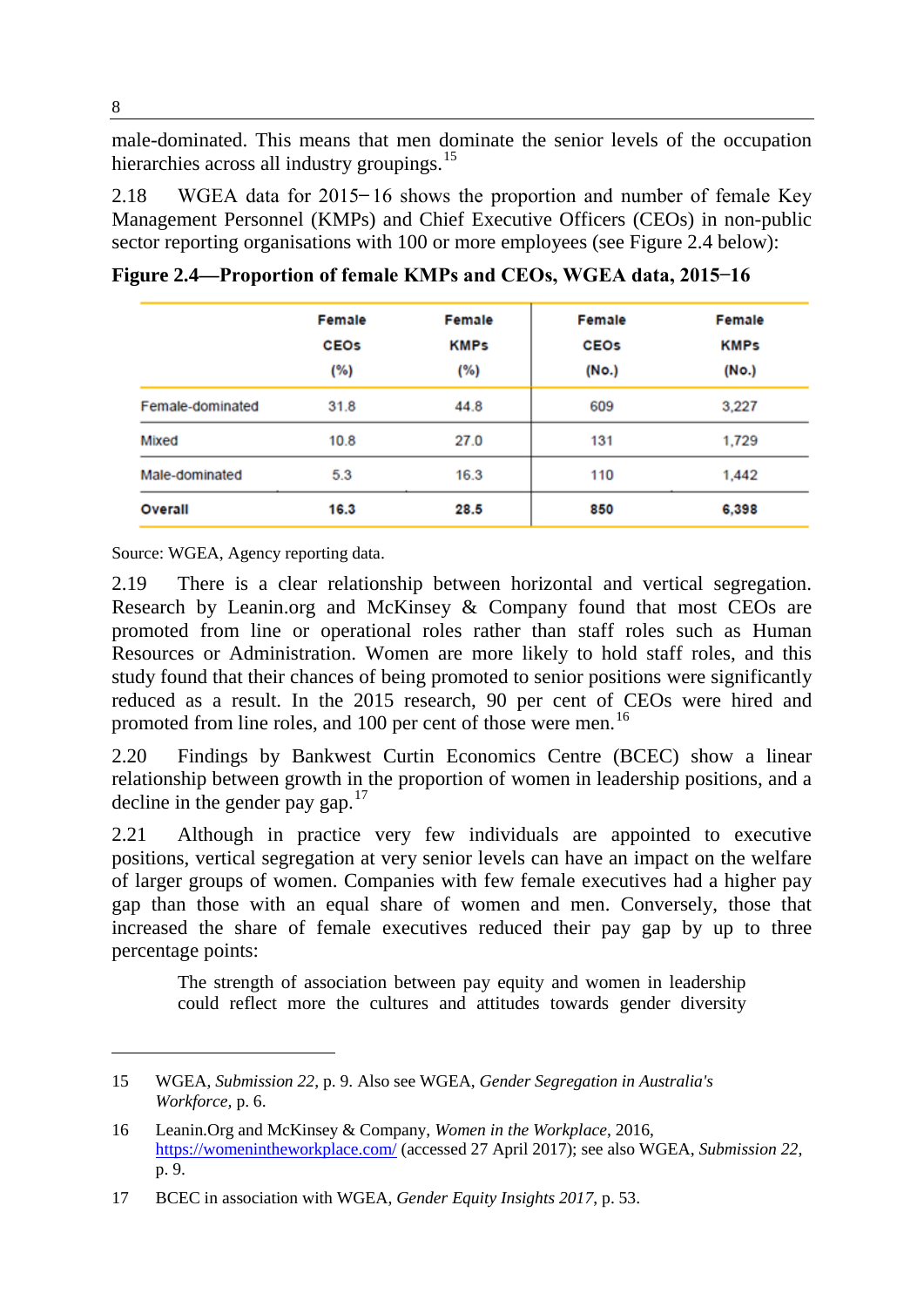male-dominated. This means that men dominate the senior levels of the occupation hierarchies across all industry groupings.<sup>[15](#page-5-0)</sup>

2.18 WGEA data for  $2015 - 16$  shows the proportion and number of female Key Management Personnel (KMPs) and Chief Executive Officers (CEOs) in non-public sector reporting organisations with 100 or more employees (see Figure 2.4 below):

|                  | Female      | Female      | Female      | Female      |  |
|------------------|-------------|-------------|-------------|-------------|--|
|                  | <b>CEOS</b> | <b>KMPs</b> | <b>CEOs</b> | <b>KMPs</b> |  |
|                  | (%)         | (%)         | (No.)       | (No.)       |  |
| Female-dominated | 31.8        | 44.8        | 609         | 3,227       |  |
| Mixed            | 10.8        | 27.0        | 131         | 1,729       |  |
| Male-dominated   | 5.3         | 16.3        | 110         | 1,442       |  |
| Overall          | 16.3        | 28.5        | 850         | 6,398       |  |

Figure 2.4—Proportion of female KMPs and CEOs, WGEA data, 2015–16

Source: WGEA, Agency reporting data.

2.19 There is a clear relationship between horizontal and vertical segregation. Research by Leanin.org and McKinsey & Company found that most CEOs are promoted from line or operational roles rather than staff roles such as Human Resources or Administration. Women are more likely to hold staff roles, and this study found that their chances of being promoted to senior positions were significantly reduced as a result. In the 2015 research, 90 per cent of CEOs were hired and promoted from line roles, and 100 per cent of those were men.<sup>[16](#page-5-1)</sup>

2.20 Findings by Bankwest Curtin Economics Centre (BCEC) show a linear relationship between growth in the proportion of women in leadership positions, and a decline in the gender pay gap. $17$ 

2.21 Although in practice very few individuals are appointed to executive positions, vertical segregation at very senior levels can have an impact on the welfare of larger groups of women. Companies with few female executives had a higher pay gap than those with an equal share of women and men. Conversely, those that increased the share of female executives reduced their pay gap by up to three percentage points:

The strength of association between pay equity and women in leadership could reflect more the cultures and attitudes towards gender diversity

<span id="page-5-0"></span><sup>15</sup> WGEA, *Submission 22*, p. 9. Also see WGEA, *Gender Segregation in Australia's Workforce,* p. 6.

<span id="page-5-1"></span><sup>16</sup> Leanin.Org and McKinsey & Company, *Women in the Workplace*, 2016, <https://womenintheworkplace.com/> (accessed 27 April 2017); see also WGEA, *Submission 22*, p. 9.

<span id="page-5-2"></span><sup>17</sup> BCEC in association with WGEA, *Gender Equity Insights 2017*, p. 53.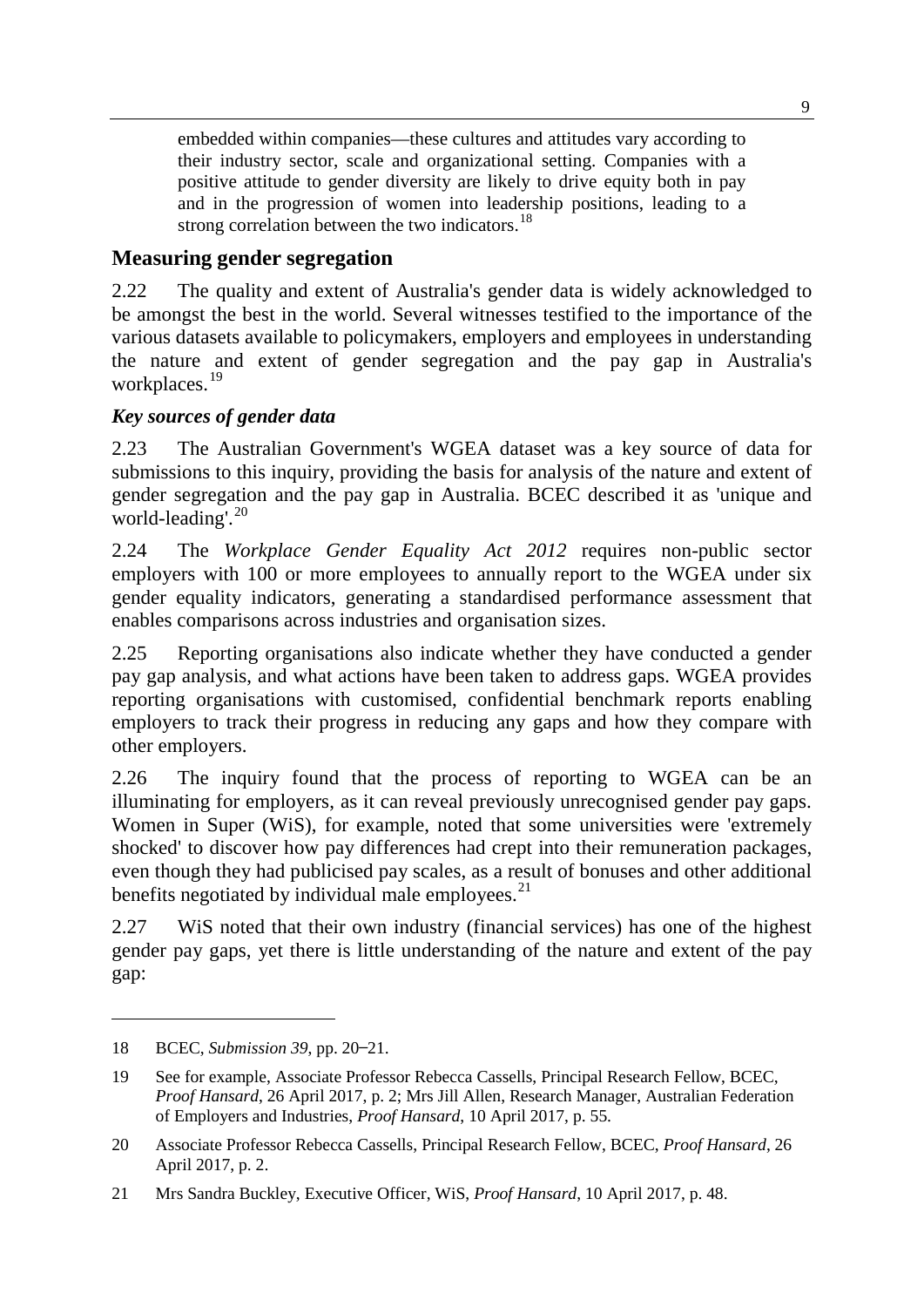embedded within companies—these cultures and attitudes vary according to their industry sector, scale and organizational setting. Companies with a positive attitude to gender diversity are likely to drive equity both in pay and in the progression of women into leadership positions, leading to a strong correlation between the two indicators.<sup>[18](#page-6-0)</sup>

## **Measuring gender segregation**

2.22 The quality and extent of Australia's gender data is widely acknowledged to be amongst the best in the world. Several witnesses testified to the importance of the various datasets available to policymakers, employers and employees in understanding the nature and extent of gender segregation and the pay gap in Australia's workplaces. [19](#page-6-1)

## *Key sources of gender data*

2.23 The Australian Government's WGEA dataset was a key source of data for submissions to this inquiry, providing the basis for analysis of the nature and extent of gender segregation and the pay gap in Australia. BCEC described it as 'unique and world-leading'.<sup>[20](#page-6-2)</sup>

2.24 The *Workplace Gender Equality Act 2012* requires non-public sector employers with 100 or more employees to annually report to the WGEA under six gender equality indicators, generating a standardised performance assessment that enables comparisons across industries and organisation sizes.

2.25 Reporting organisations also indicate whether they have conducted a gender pay gap analysis, and what actions have been taken to address gaps. WGEA provides reporting organisations with customised, confidential benchmark reports enabling employers to track their progress in reducing any gaps and how they compare with other employers.

2.26 The inquiry found that the process of reporting to WGEA can be an illuminating for employers, as it can reveal previously unrecognised gender pay gaps. Women in Super (WiS), for example, noted that some universities were 'extremely shocked' to discover how pay differences had crept into their remuneration packages, even though they had publicised pay scales, as a result of bonuses and other additional benefits negotiated by individual male employees. $21$ 

2.27 WiS noted that their own industry (financial services) has one of the highest gender pay gaps, yet there is little understanding of the nature and extent of the pay gap:

<span id="page-6-0"></span><sup>18</sup> BCEC, *Submission 39*, pp. 20–21.

<span id="page-6-1"></span><sup>19</sup> See for example, Associate Professor Rebecca Cassells, Principal Research Fellow, BCEC, *Proof Hansard*, 26 April 2017, p. 2; Mrs Jill Allen, Research Manager, Australian Federation of Employers and Industries, *Proof Hansard*, 10 April 2017, p. 55.

<span id="page-6-2"></span><sup>20</sup> Associate Professor Rebecca Cassells, Principal Research Fellow, BCEC, *Proof Hansard*, 26 April 2017, p. 2.

<span id="page-6-3"></span><sup>21</sup> Mrs Sandra Buckley, Executive Officer, WiS, *Proof Hansard*, 10 April 2017, p. 48.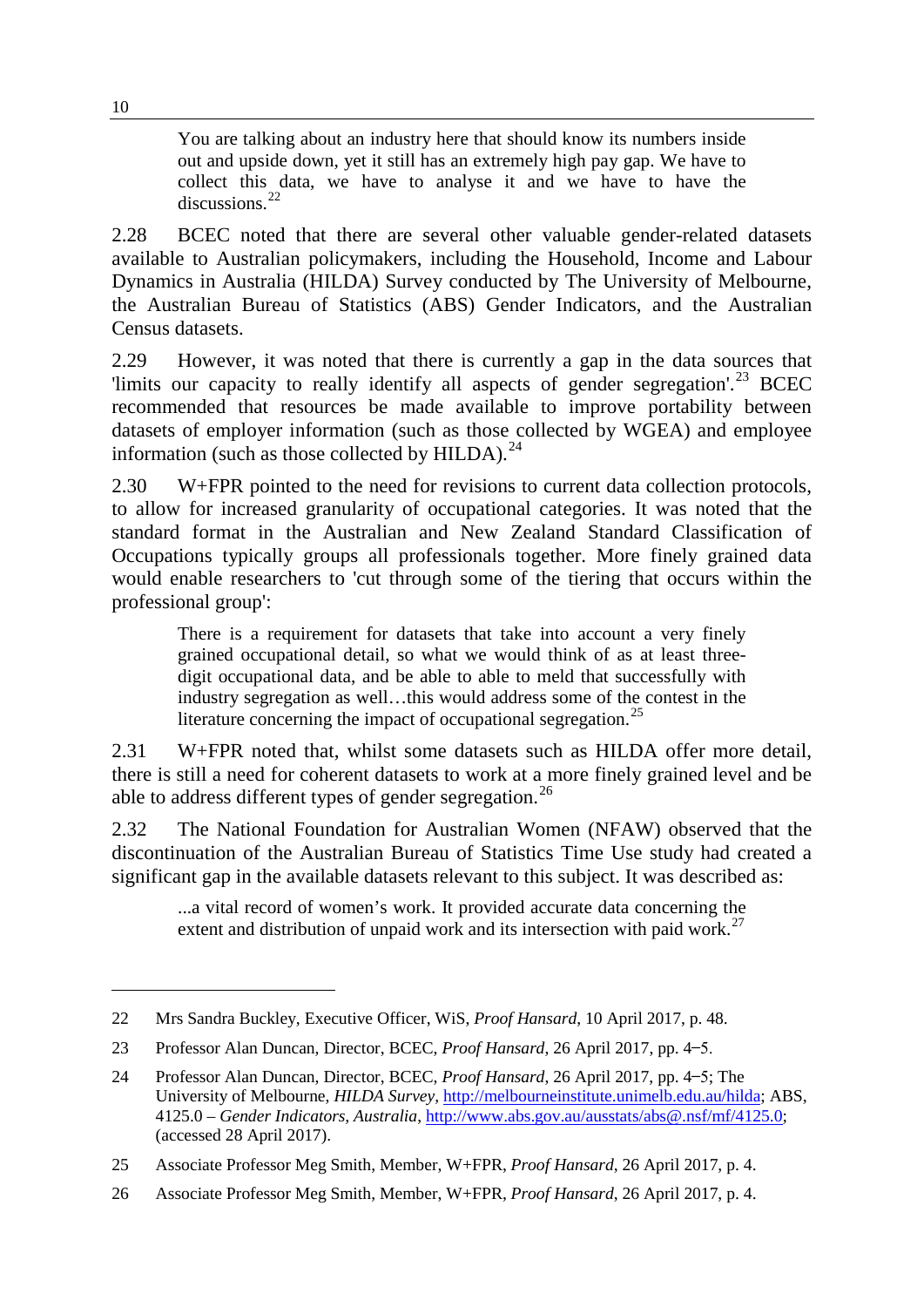You are talking about an industry here that should know its numbers inside out and upside down, yet it still has an extremely high pay gap. We have to collect this data, we have to analyse it and we have to have the discussions.<sup>[22](#page-7-0)</sup>

2.28 BCEC noted that there are several other valuable gender-related datasets available to Australian policymakers, including the Household, Income and Labour Dynamics in Australia (HILDA) Survey conducted by The University of Melbourne, the Australian Bureau of Statistics (ABS) Gender Indicators, and the Australian Census datasets.

2.29 However, it was noted that there is currently a gap in the data sources that 'limits our capacity to really identify all aspects of gender segregation'.<sup>[23](#page-7-1)</sup> BCEC recommended that resources be made available to improve portability between datasets of employer information (such as those collected by WGEA) and employee information (such as those collected by HILDA).<sup>[24](#page-7-2)</sup>

2.30 W+FPR pointed to the need for revisions to current data collection protocols, to allow for increased granularity of occupational categories. It was noted that the standard format in the Australian and New Zealand Standard Classification of Occupations typically groups all professionals together. More finely grained data would enable researchers to 'cut through some of the tiering that occurs within the professional group':

There is a requirement for datasets that take into account a very finely grained occupational detail, so what we would think of as at least threedigit occupational data, and be able to able to meld that successfully with industry segregation as well…this would address some of the contest in the literature concerning the impact of occupational segregation.<sup>[25](#page-7-3)</sup>

2.31 W+FPR noted that, whilst some datasets such as HILDA offer more detail, there is still a need for coherent datasets to work at a more finely grained level and be able to address different types of gender segregation.<sup>[26](#page-7-4)</sup>

2.32 The National Foundation for Australian Women (NFAW) observed that the discontinuation of the Australian Bureau of Statistics Time Use study had created a significant gap in the available datasets relevant to this subject. It was described as:

...a vital record of women's work. It provided accurate data concerning the extent and distribution of unpaid work and its intersection with paid work.<sup>[27](#page-7-5)</sup>

<span id="page-7-5"></span><span id="page-7-0"></span><sup>22</sup> Mrs Sandra Buckley, Executive Officer, WiS, *Proof Hansard*, 10 April 2017, p. 48.

<span id="page-7-1"></span><sup>23</sup> Professor Alan Duncan, Director, BCEC, *Proof Hansard*, 26 April 2017, pp. 4 ̶ 5.

<span id="page-7-2"></span><sup>24</sup> Professor Alan Duncan, Director, BCEC, *Proof Hansard*, 26 April 2017, pp. 4–5; The University of Melbourne, *HILDA Survey*, [http://melbourneinstitute.unimelb.edu.au/hilda;](http://melbourneinstitute.unimelb.edu.au/hilda) ABS, 4125.0 – *Gender Indicators, Australia*, [http://www.abs.gov.au/ausstats/abs@.nsf/mf/4125.0;](http://www.abs.gov.au/ausstats/abs@.nsf/mf/4125.0) (accessed 28 April 2017).

<span id="page-7-3"></span><sup>25</sup> Associate Professor Meg Smith, Member, W+FPR, *Proof Hansard*, 26 April 2017, p. 4.

<span id="page-7-4"></span><sup>26</sup> Associate Professor Meg Smith, Member, W+FPR, *Proof Hansard*, 26 April 2017, p. 4.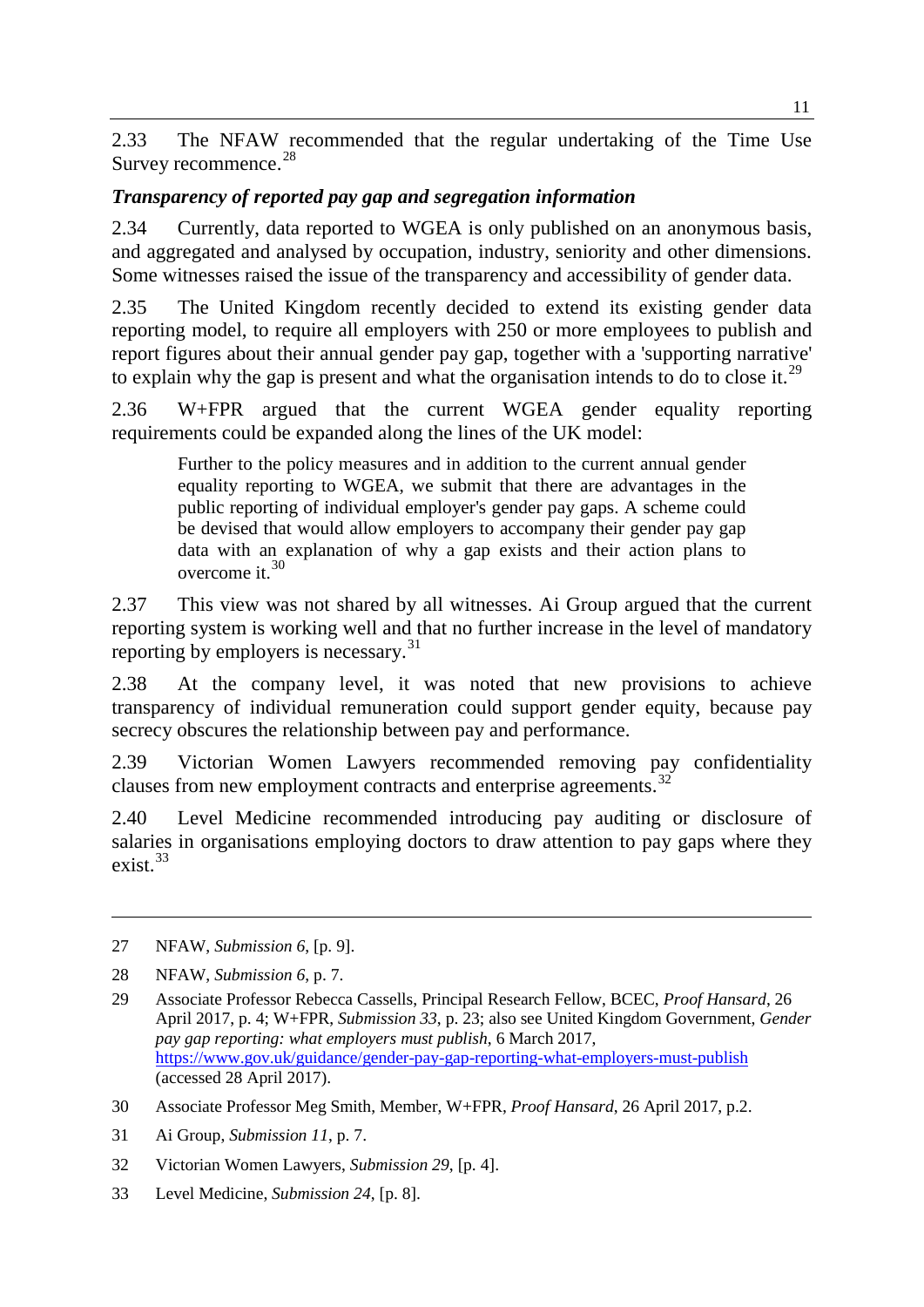2.33 The NFAW recommended that the regular undertaking of the Time Use Survey recommence.<sup>[28](#page-8-0)</sup>

### *Transparency of reported pay gap and segregation information*

2.34 Currently, data reported to WGEA is only published on an anonymous basis, and aggregated and analysed by occupation, industry, seniority and other dimensions. Some witnesses raised the issue of the transparency and accessibility of gender data.

2.35 The United Kingdom recently decided to extend its existing gender data reporting model, to require all employers with 250 or more employees to publish and report figures about their annual gender pay gap, together with a 'supporting narrative' to explain why the gap is present and what the organisation intends to do to close it.<sup>[29](#page-8-1)</sup>

2.36 W+FPR argued that the current WGEA gender equality reporting requirements could be expanded along the lines of the UK model:

Further to the policy measures and in addition to the current annual gender equality reporting to WGEA, we submit that there are advantages in the public reporting of individual employer's gender pay gaps. A scheme could be devised that would allow employers to accompany their gender pay gap data with an explanation of why a gap exists and their action plans to overcome it.  $30$ 

2.37 This view was not shared by all witnesses. Ai Group argued that the current reporting system is working well and that no further increase in the level of mandatory reporting by employers is necessary.[31](#page-8-3)

2.38 At the company level, it was noted that new provisions to achieve transparency of individual remuneration could support gender equity, because pay secrecy obscures the relationship between pay and performance.

2.39 Victorian Women Lawyers recommended removing pay confidentiality clauses from new employment contracts and enterprise agreements.<sup>3</sup>

2.40 Level Medicine recommended introducing pay auditing or disclosure of salaries in organisations employing doctors to draw attention to pay gaps where they exist. [33](#page-8-5)

27 NFAW, *Submission 6*, [p. 9].

- <span id="page-8-1"></span>29 Associate Professor Rebecca Cassells, Principal Research Fellow, BCEC, *Proof Hansard*, 26 April 2017, p. 4; W+FPR, *Submission 33*, p. 23; also see United Kingdom Government, *Gender pay gap reporting: what employers must publish*, 6 March 2017, <https://www.gov.uk/guidance/gender-pay-gap-reporting-what-employers-must-publish> (accessed 28 April 2017).
- <span id="page-8-2"></span>30 Associate Professor Meg Smith, Member, W+FPR, *Proof Hansard*, 26 April 2017, p.2.
- <span id="page-8-3"></span>31 Ai Group, *Submission 11*, p. 7.
- <span id="page-8-4"></span>32 Victorian Women Lawyers, *Submission 29*, [p. 4].
- <span id="page-8-5"></span>33 Level Medicine, *Submission 24*, [p. 8].

<span id="page-8-0"></span><sup>28</sup> NFAW, *Submission 6*, p. 7.